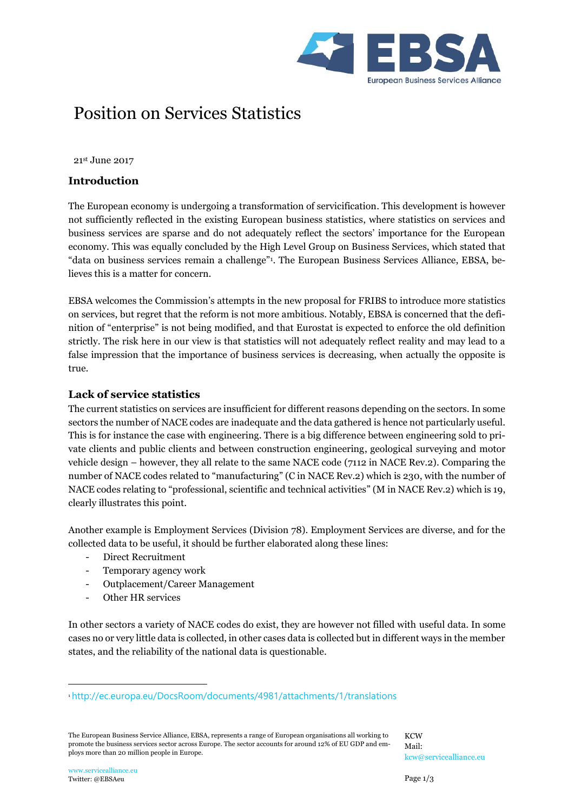

# Position on Services Statistics

21st June 2017

#### **Introduction**

The European economy is undergoing a transformation of servicification. This development is however not sufficiently reflected in the existing European business statistics, where statistics on services and business services are sparse and do not adequately reflect the sectors' importance for the European economy. This was equally concluded by the High Level Group on Business Services, which stated that "data on business services remain a challenge"<sup>1</sup> . The European Business Services Alliance, EBSA, believes this is a matter for concern.

EBSA welcomes the Commission's attempts in the new proposal for FRIBS to introduce more statistics on services, but regret that the reform is not more ambitious. Notably, EBSA is concerned that the definition of "enterprise" is not being modified, and that Eurostat is expected to enforce the old definition strictly. The risk here in our view is that statistics will not adequately reflect reality and may lead to a false impression that the importance of business services is decreasing, when actually the opposite is true.

#### **Lack of service statistics**

The current statistics on services are insufficient for different reasons depending on the sectors. In some sectors the number of NACE codes are inadequate and the data gathered is hence not particularly useful. This is for instance the case with engineering. There is a big difference between engineering sold to private clients and public clients and between construction engineering, geological surveying and motor vehicle design – however, they all relate to the same NACE code (7112 in NACE Rev.2). Comparing the number of NACE codes related to "manufacturing" (C in NACE Rev.2) which is 230, with the number of NACE codes relating to "professional, scientific and technical activities" (M in NACE Rev.2) which is 19, clearly illustrates this point.

Another example is Employment Services (Division 78). Employment Services are diverse, and for the collected data to be useful, it should be further elaborated along these lines:

- Direct Recruitment
- Temporary agency work
- Outplacement/Career Management
- Other HR services

In other sectors a variety of NACE codes do exist, they are however not filled with useful data. In some cases no or very little data is collected, in other cases data is collected but in different ways in the member states, and the reliability of the national data is questionable.

 $\overline{a}$ 

<sup>1</sup> <http://ec.europa.eu/DocsRoom/documents/4981/attachments/1/translations>

The European Business Service Alliance, EBSA, represents a range of European organisations all working to promote the business services sector across Europe. The sector accounts for around 12% of EU GDP and employs more than 20 million people in Europe.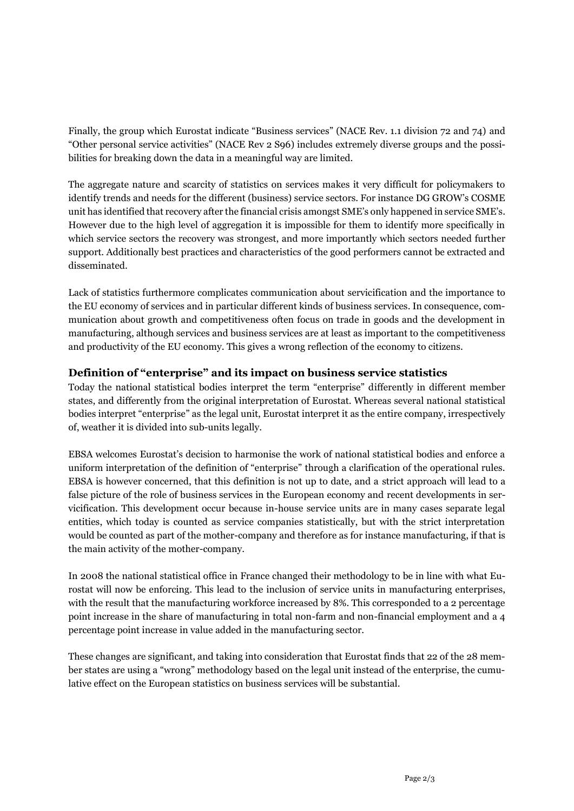Finally, the group which Eurostat indicate "Business services" (NACE Rev. 1.1 division 72 and 74) and "Other personal service activities" (NACE Rev 2 S96) includes extremely diverse groups and the possibilities for breaking down the data in a meaningful way are limited.

The aggregate nature and scarcity of statistics on services makes it very difficult for policymakers to identify trends and needs for the different (business) service sectors. For instance DG GROW's COSME unit has identified that recovery after the financial crisis amongst SME's only happened in service SME's. However due to the high level of aggregation it is impossible for them to identify more specifically in which service sectors the recovery was strongest, and more importantly which sectors needed further support. Additionally best practices and characteristics of the good performers cannot be extracted and disseminated.

Lack of statistics furthermore complicates communication about servicification and the importance to the EU economy of services and in particular different kinds of business services. In consequence, communication about growth and competitiveness often focus on trade in goods and the development in manufacturing, although services and business services are at least as important to the competitiveness and productivity of the EU economy. This gives a wrong reflection of the economy to citizens.

## **Definition of "enterprise" and its impact on business service statistics**

Today the national statistical bodies interpret the term "enterprise" differently in different member states, and differently from the original interpretation of Eurostat. Whereas several national statistical bodies interpret "enterprise" as the legal unit, Eurostat interpret it as the entire company, irrespectively of, weather it is divided into sub-units legally.

EBSA welcomes Eurostat's decision to harmonise the work of national statistical bodies and enforce a uniform interpretation of the definition of "enterprise" through a clarification of the operational rules. EBSA is however concerned, that this definition is not up to date, and a strict approach will lead to a false picture of the role of business services in the European economy and recent developments in servicification. This development occur because in-house service units are in many cases separate legal entities, which today is counted as service companies statistically, but with the strict interpretation would be counted as part of the mother-company and therefore as for instance manufacturing, if that is the main activity of the mother-company.

In 2008 the national statistical office in France changed their methodology to be in line with what Eurostat will now be enforcing. This lead to the inclusion of service units in manufacturing enterprises, with the result that the manufacturing workforce increased by 8%. This corresponded to a 2 percentage point increase in the share of manufacturing in total non-farm and non-financial employment and a 4 percentage point increase in value added in the manufacturing sector.

These changes are significant, and taking into consideration that Eurostat finds that 22 of the 28 member states are using a "wrong" methodology based on the legal unit instead of the enterprise, the cumulative effect on the European statistics on business services will be substantial.